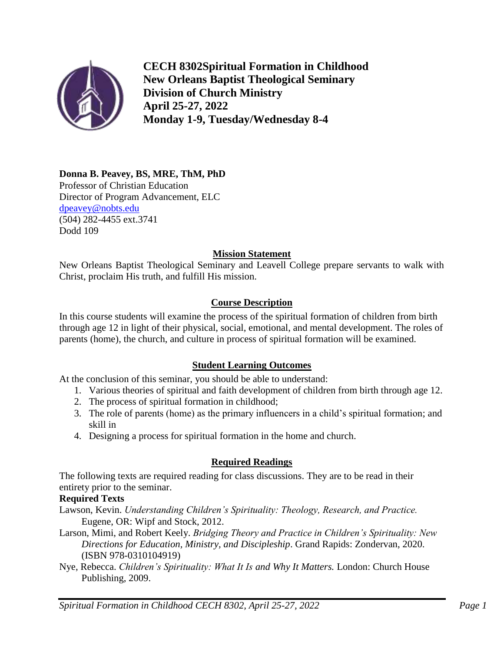

**CECH 8302Spiritual Formation in Childhood New Orleans Baptist Theological Seminary Division of Church Ministry April 25-27, 2022 Monday 1-9, Tuesday/Wednesday 8-4**

# **Donna B. Peavey, BS, MRE, ThM, PhD**

Professor of Christian Education Director of Program Advancement, ELC [dpeavey@nobts.edu](mailto:dpeavey@nobts.edu) (504) 282-4455 ext.3741 Dodd 109

## **Mission Statement**

New Orleans Baptist Theological Seminary and Leavell College prepare servants to walk with Christ, proclaim His truth, and fulfill His mission.

# **Course Description**

In this course students will examine the process of the spiritual formation of children from birth through age 12 in light of their physical, social, emotional, and mental development. The roles of parents (home), the church, and culture in process of spiritual formation will be examined.

# **Student Learning Outcomes**

At the conclusion of this seminar, you should be able to understand:

- 1. Various theories of spiritual and faith development of children from birth through age 12.
- 2. The process of spiritual formation in childhood;
- 3. The role of parents (home) as the primary influencers in a child's spiritual formation; and skill in
- 4. Designing a process for spiritual formation in the home and church.

# **Required Readings**

The following texts are required reading for class discussions. They are to be read in their entirety prior to the seminar.

# **Required Texts**

- Lawson, Kevin. *Understanding Children's Spirituality: Theology, Research, and Practice.*  Eugene, OR: Wipf and Stock, 2012.
- Larson, Mimi, and Robert Keely. *Bridging Theory and Practice in Children's Spirituality: New Directions for Education, Ministry, and Discipleship*. Grand Rapids: Zondervan, 2020. (ISBN 978-0310104919)
- Nye, Rebecca. *Children's Spirituality: What It Is and Why It Matters.* London: Church House Publishing, 2009.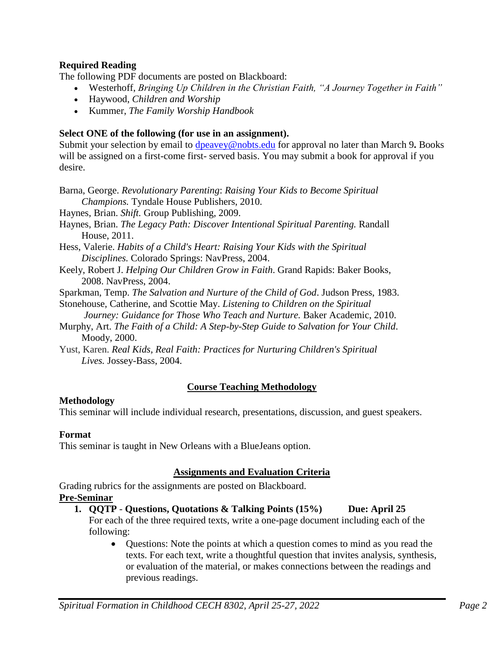## **Required Reading**

The following PDF documents are posted on Blackboard:

- Westerhoff, *Bringing Up Children in the Christian Faith, "A Journey Together in Faith"*
- Haywood, *Children and Worship*
- Kummer, *The Family Worship Handbook*

## **Select ONE of the following (for use in an assignment).**

Submit your selection by email to [dpeavey@nobts.edu](mailto:dpeavey@nobts.edu) for approval no later than March 9**.** Books will be assigned on a first-come first- served basis. You may submit a book for approval if you desire.

Barna, George. *Revolutionary Parenting*: *Raising Your Kids to Become Spiritual Champions.* Tyndale House Publishers, 2010.

Haynes, Brian. *Shift.* Group Publishing, 2009.

Haynes, Brian. *The Legacy Path: Discover Intentional Spiritual Parenting.* Randall House, 2011.

Hess, Valerie. *Habits of a Child's Heart: Raising Your Kids with the Spiritual Disciplines.* Colorado Springs: NavPress, 2004.

Keely, Robert J. *Helping Our Children Grow in Faith*. Grand Rapids: Baker Books, 2008. NavPress, 2004.

Sparkman, Temp. *The Salvation and Nurture of the Child of God*. Judson Press, 1983.

Stonehouse, Catherine, and Scottie May. *Listening to Children on the Spiritual Journey: Guidance for Those Who Teach and Nurture.* Baker Academic, 2010.

- Murphy, Art. *The Faith of a Child: A Step-by-Step Guide to Salvation for Your Child*. Moody, 2000.
- Yust, Karen. *Real Kids, Real Faith: Practices for Nurturing Children's Spiritual Lives.* Jossey-Bass, 2004.

# **Course Teaching Methodology**

## **Methodology**

This seminar will include individual research, presentations, discussion, and guest speakers.

## **Format**

This seminar is taught in New Orleans with a BlueJeans option.

## **Assignments and Evaluation Criteria**

Grading rubrics for the assignments are posted on Blackboard. **Pre-Seminar**

- **1. QQTP** Questions, Quotations & Talking Points (15%) Due: April 25 For each of the three required texts, write a one-page document including each of the following:
	- Questions: Note the points at which a question comes to mind as you read the texts. For each text, write a thoughtful question that invites analysis, synthesis, or evaluation of the material, or makes connections between the readings and previous readings.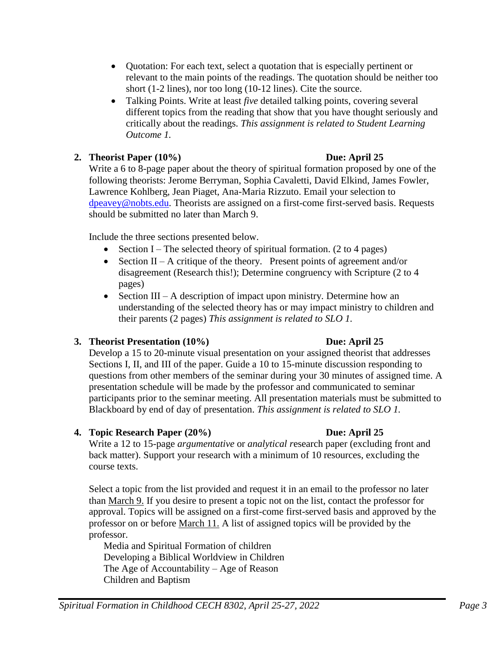- Quotation: For each text, select a quotation that is especially pertinent or relevant to the main points of the readings. The quotation should be neither too short (1-2 lines), nor too long (10-12 lines). Cite the source.
- Talking Points. Write at least *five* detailed talking points, covering several different topics from the reading that show that you have thought seriously and critically about the readings. *This assignment is related to Student Learning Outcome 1.*

## **2. Theorist Paper (10%) Due: April 25**

Write a 6 to 8-page paper about the theory of spiritual formation proposed by one of the following theorists: Jerome Berryman, Sophia Cavaletti, David Elkind, James Fowler, Lawrence Kohlberg, Jean Piaget, Ana-Maria Rizzuto. Email your selection to [dpeavey@nobts.edu.](mailto:dpeavey@nobts.edu) Theorists are assigned on a first-come first-served basis. Requests should be submitted no later than March 9.

Include the three sections presented below.

- Section I The selected theory of spiritual formation. (2 to 4 pages)
- Section II A critique of the theory. Present points of agreement and/or disagreement (Research this!); Determine congruency with Scripture (2 to 4 pages)
- Section III A description of impact upon ministry. Determine how an understanding of the selected theory has or may impact ministry to children and their parents (2 pages) *This assignment is related to SLO 1.*

# **3. Theorist Presentation (10%) Due: April 25**

Develop a 15 to 20-minute visual presentation on your assigned theorist that addresses Sections I, II, and III of the paper. Guide a 10 to 15-minute discussion responding to questions from other members of the seminar during your 30 minutes of assigned time. A presentation schedule will be made by the professor and communicated to seminar participants prior to the seminar meeting. All presentation materials must be submitted to Blackboard by end of day of presentation. *This assignment is related to SLO 1.*

# **4. Topic Research Paper (20%) Due: April 25**

## Write a 12 to 15-page *argumentative* or *analytical r*esearch paper (excluding front and back matter). Support your research with a minimum of 10 resources, excluding the course texts.

Select a topic from the list provided and request it in an email to the professor no later than March 9. If you desire to present a topic not on the list, contact the professor for approval. Topics will be assigned on a first-come first-served basis and approved by the professor on or before March 11. A list of assigned topics will be provided by the professor.

Media and Spiritual Formation of children Developing a Biblical Worldview in Children The Age of Accountability – Age of Reason Children and Baptism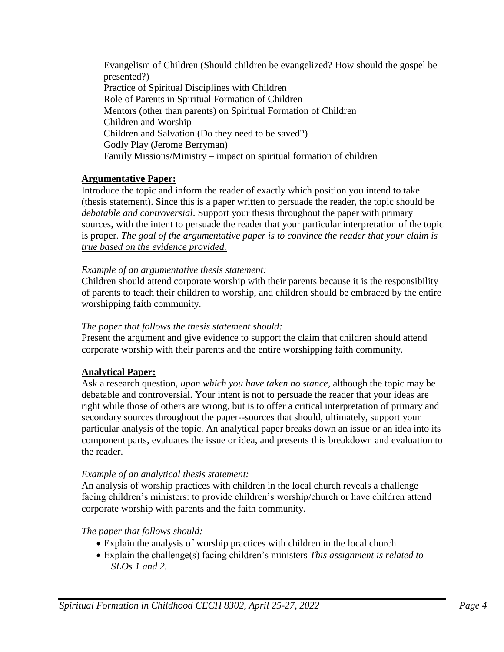Evangelism of Children (Should children be evangelized? How should the gospel be presented?) Practice of Spiritual Disciplines with Children Role of Parents in Spiritual Formation of Children Mentors (other than parents) on Spiritual Formation of Children Children and Worship Children and Salvation (Do they need to be saved?) Godly Play (Jerome Berryman) Family Missions/Ministry – impact on spiritual formation of children

## **Argumentative Paper:**

Introduce the topic and inform the reader of exactly which position you intend to take (thesis statement). Since this is a paper written to persuade the reader, the topic should be *debatable and controversial*. Support your thesis throughout the paper with primary sources, with the intent to persuade the reader that your particular interpretation of the topic is proper. *The goal of the argumentative paper is to convince the reader that your claim is true based on the evidence provided.*

### *Example of an argumentative thesis statement:*

Children should attend corporate worship with their parents because it is the responsibility of parents to teach their children to worship, and children should be embraced by the entire worshipping faith community.

### *The paper that follows the thesis statement should:*

Present the argument and give evidence to support the claim that children should attend corporate worship with their parents and the entire worshipping faith community.

### **Analytical Paper:**

Ask a research question, *upon which you have taken no stance*, although the topic may be debatable and controversial. Your intent is not to persuade the reader that your ideas are right while those of others are wrong, but is to offer a critical interpretation of primary and secondary sources throughout the paper--sources that should, ultimately, support your particular analysis of the topic. An analytical paper breaks down an issue or an idea into its component parts, evaluates the issue or idea, and presents this breakdown and evaluation to the reader.

### *Example of an analytical thesis statement:*

An analysis of worship practices with children in the local church reveals a challenge facing children's ministers: to provide children's worship/church or have children attend corporate worship with parents and the faith community.

## *The paper that follows should:*

- Explain the analysis of worship practices with children in the local church
- Explain the challenge(s) facing children's ministers *This assignment is related to SLOs 1 and 2.*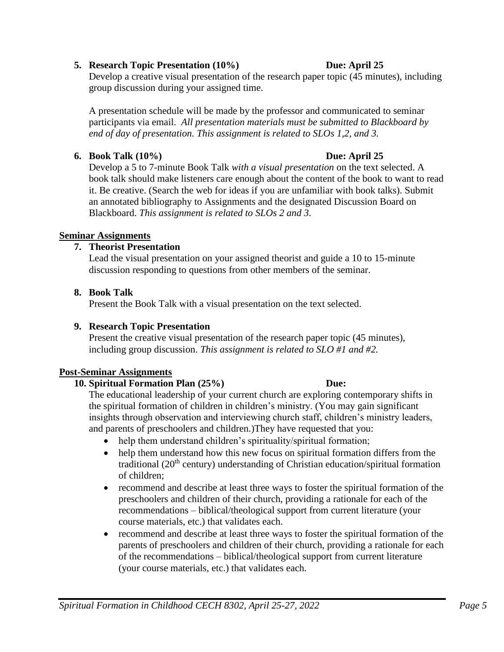# **5. Research Topic Presentation (10%) Due: April 25**

Develop a creative visual presentation of the research paper topic (45 minutes), including group discussion during your assigned time.

A presentation schedule will be made by the professor and communicated to seminar participants via email. *All presentation materials must be submitted to Blackboard by end of day of presentation. This assignment is related to SLOs 1,2, and 3.*

# **6. Book Talk (10%) Due: April 25**

Develop a 5 to 7-minute Book Talk *with a visual presentation* on the text selected. A book talk should make listeners care enough about the content of the book to want to read it. Be creative. (Search the web for ideas if you are unfamiliar with book talks). Submit an annotated bibliography to Assignments and the designated Discussion Board on Blackboard. *This assignment is related to SLOs 2 and 3.* 

# **Seminar Assignments**

# **7. Theorist Presentation**

Lead the visual presentation on your assigned theorist and guide a 10 to 15-minute discussion responding to questions from other members of the seminar.

# **8. Book Talk**

Present the Book Talk with a visual presentation on the text selected.

# **9. Research Topic Presentation**

Present the creative visual presentation of the research paper topic (45 minutes), including group discussion. *This assignment is related to SLO #1 and #2.* 

# **Post-Seminar Assignments**

# **10. Spiritual Formation Plan (25%) Due:**

The educational leadership of your current church are exploring contemporary shifts in the spiritual formation of children in children's ministry. (You may gain significant insights through observation and interviewing church staff, children's ministry leaders, and parents of preschoolers and children.)They have requested that you:

- help them understand children's spirituality/spiritual formation;
- help them understand how this new focus on spiritual formation differs from the traditional (20<sup>th</sup> century) understanding of Christian education/spiritual formation of children;
- recommend and describe at least three ways to foster the spiritual formation of the preschoolers and children of their church, providing a rationale for each of the recommendations – biblical/theological support from current literature (your course materials, etc.) that validates each.
- recommend and describe at least three ways to foster the spiritual formation of the parents of preschoolers and children of their church, providing a rationale for each of the recommendations – biblical/theological support from current literature (your course materials, etc.) that validates each.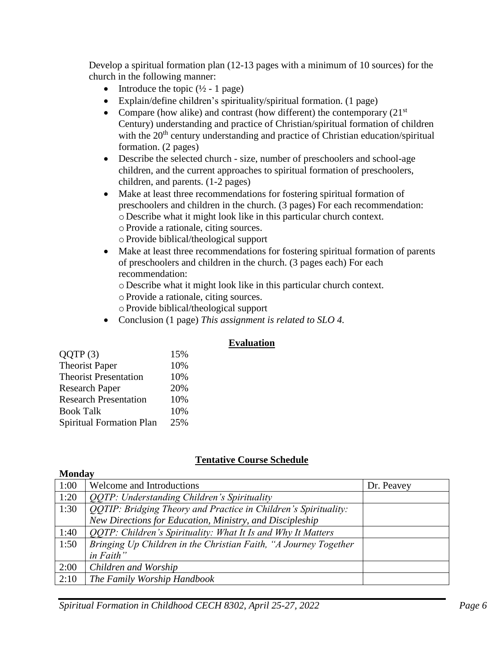Develop a spiritual formation plan (12-13 pages with a minimum of 10 sources) for the church in the following manner:

- Introduce the topic  $(\frac{1}{2} 1)$  page)
- Explain/define children's spirituality/spiritual formation. (1 page)
- Compare (how alike) and contrast (how different) the contemporary  $(21<sup>st</sup>$ Century) understanding and practice of Christian/spiritual formation of children with the 20<sup>th</sup> century understanding and practice of Christian education/spiritual formation. (2 pages)
- Describe the selected church size, number of preschoolers and school-age children, and the current approaches to spiritual formation of preschoolers, children, and parents. (1-2 pages)
- Make at least three recommendations for fostering spiritual formation of preschoolers and children in the church. (3 pages) For each recommendation: o Describe what it might look like in this particular church context. oProvide a rationale, citing sources.
	- oProvide biblical/theological support
- Make at least three recommendations for fostering spiritual formation of parents of preschoolers and children in the church. (3 pages each) For each recommendation:
	- o Describe what it might look like in this particular church context.
	- oProvide a rationale, citing sources.
	- oProvide biblical/theological support
- Conclusion (1 page) *This assignment is related to SLO 4.*

### **Evaluation**

| QQTP(3)                         | 15% |
|---------------------------------|-----|
| <b>Theorist Paper</b>           | 10% |
| <b>Theorist Presentation</b>    | 10% |
| <b>Research Paper</b>           | 20% |
| <b>Research Presentation</b>    | 10% |
| <b>Book Talk</b>                | 10% |
| <b>Spiritual Formation Plan</b> | 25% |

**Monday**

## **Tentative Course Schedule**

| <u>iviulua v</u> |                                                                  |            |
|------------------|------------------------------------------------------------------|------------|
| 1:00             | Welcome and Introductions                                        | Dr. Peavey |
| 1:20             | <i><b>OOTP:</b></i> Understanding Children's Spirituality        |            |
| 1:30             | OOTIP: Bridging Theory and Practice in Children's Spirituality:  |            |
|                  | New Directions for Education, Ministry, and Discipleship         |            |
| 1:40             | OOTP: Children's Spirituality: What It Is and Why It Matters     |            |
| 1:50             | Bringing Up Children in the Christian Faith, "A Journey Together |            |
|                  | in Faith"                                                        |            |
| 2:00             | Children and Worship                                             |            |
| 2:10             | The Family Worship Handbook                                      |            |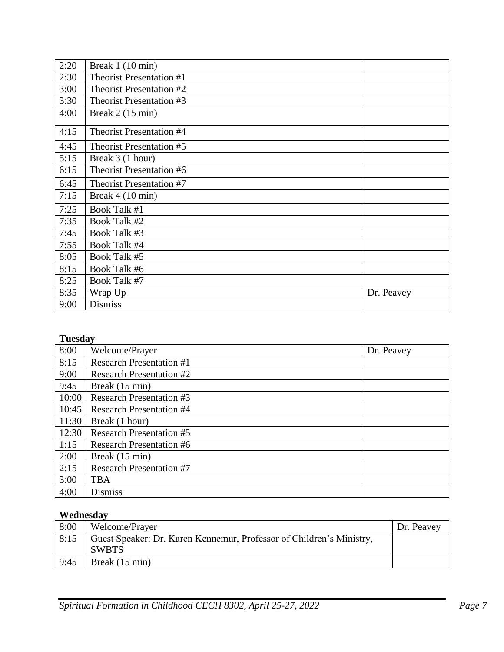| 2:20 | Break 1 (10 min)                |            |
|------|---------------------------------|------------|
| 2:30 | Theorist Presentation #1        |            |
| 3:00 | Theorist Presentation #2        |            |
| 3:30 | Theorist Presentation #3        |            |
| 4:00 | Break $2(15 \text{ min})$       |            |
| 4:15 | <b>Theorist Presentation #4</b> |            |
| 4:45 | Theorist Presentation #5        |            |
| 5:15 | Break 3 (1 hour)                |            |
| 6:15 | <b>Theorist Presentation #6</b> |            |
| 6:45 | Theorist Presentation #7        |            |
| 7:15 | Break $4(10 \text{ min})$       |            |
| 7:25 | Book Talk #1                    |            |
| 7:35 | Book Talk #2                    |            |
| 7:45 | Book Talk #3                    |            |
| 7:55 | Book Talk #4                    |            |
| 8:05 | Book Talk #5                    |            |
| 8:15 | Book Talk #6                    |            |
| 8:25 | Book Talk #7                    |            |
| 8:35 | Wrap Up                         | Dr. Peavey |
| 9:00 | <b>Dismiss</b>                  |            |

# **Tuesday**

| 8:00  | Welcome/Prayer                  | Dr. Peavey |
|-------|---------------------------------|------------|
| 8:15  | <b>Research Presentation #1</b> |            |
| 9:00  | <b>Research Presentation #2</b> |            |
| 9:45  | Break (15 min)                  |            |
| 10:00 | <b>Research Presentation #3</b> |            |
| 10:45 | <b>Research Presentation #4</b> |            |
| 11:30 | Break (1 hour)                  |            |
| 12:30 | <b>Research Presentation #5</b> |            |
| 1:15  | <b>Research Presentation #6</b> |            |
| 2:00  | Break (15 min)                  |            |
| 2:15  | <b>Research Presentation #7</b> |            |
| 3:00  | <b>TBA</b>                      |            |
| 4:00  | <b>Dismiss</b>                  |            |

# **Wednesday**

| 8:00 | Welcome/Prayer                                                       | Dr. Peavey |
|------|----------------------------------------------------------------------|------------|
| 8:15 | Guest Speaker: Dr. Karen Kennemur, Professor of Children's Ministry, |            |
|      | <b>SWBTS</b>                                                         |            |
| 9:45 | Break $(15 \text{ min})$                                             |            |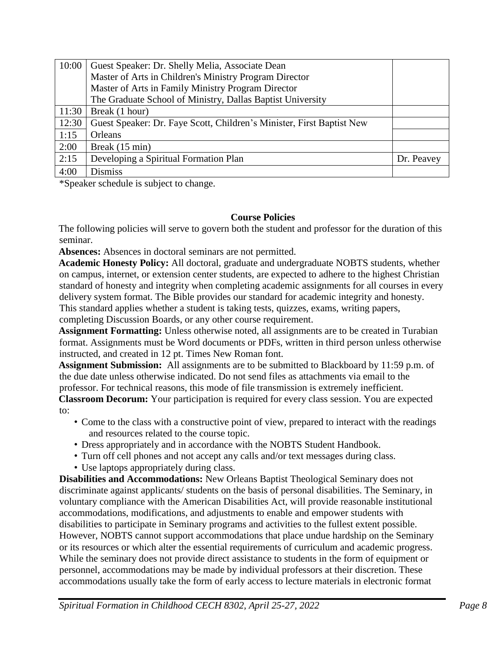| 10:00 | Guest Speaker: Dr. Shelly Melia, Associate Dean                       |            |
|-------|-----------------------------------------------------------------------|------------|
|       | Master of Arts in Children's Ministry Program Director                |            |
|       | Master of Arts in Family Ministry Program Director                    |            |
|       | The Graduate School of Ministry, Dallas Baptist University            |            |
| 11:30 | Break (1 hour)                                                        |            |
| 12:30 | Guest Speaker: Dr. Faye Scott, Children's Minister, First Baptist New |            |
| 1:15  | Orleans                                                               |            |
| 2:00  | Break (15 min)                                                        |            |
| 2:15  | Developing a Spiritual Formation Plan                                 | Dr. Peavey |
| 4:00  | <b>Dismiss</b>                                                        |            |

\*Speaker schedule is subject to change.

# **Course Policies**

The following policies will serve to govern both the student and professor for the duration of this seminar.

**Absences:** Absences in doctoral seminars are not permitted.

**Academic Honesty Policy:** All doctoral, graduate and undergraduate NOBTS students, whether on campus, internet, or extension center students, are expected to adhere to the highest Christian standard of honesty and integrity when completing academic assignments for all courses in every delivery system format. The Bible provides our standard for academic integrity and honesty. This standard applies whether a student is taking tests, quizzes, exams, writing papers, completing Discussion Boards, or any other course requirement.

**Assignment Formatting:** Unless otherwise noted, all assignments are to be created in Turabian format. Assignments must be Word documents or PDFs, written in third person unless otherwise instructed, and created in 12 pt. Times New Roman font.

**Assignment Submission:** All assignments are to be submitted to Blackboard by 11:59 p.m. of the due date unless otherwise indicated. Do not send files as attachments via email to the professor. For technical reasons, this mode of file transmission is extremely inefficient.

**Classroom Decorum:** Your participation is required for every class session. You are expected to:

- Come to the class with a constructive point of view, prepared to interact with the readings and resources related to the course topic.
- Dress appropriately and in accordance with the NOBTS Student Handbook.
- Turn off cell phones and not accept any calls and/or text messages during class.
- Use laptops appropriately during class.

**Disabilities and Accommodations:** New Orleans Baptist Theological Seminary does not discriminate against applicants/ students on the basis of personal disabilities. The Seminary, in voluntary compliance with the American Disabilities Act, will provide reasonable institutional accommodations, modifications, and adjustments to enable and empower students with disabilities to participate in Seminary programs and activities to the fullest extent possible. However, NOBTS cannot support accommodations that place undue hardship on the Seminary or its resources or which alter the essential requirements of curriculum and academic progress. While the seminary does not provide direct assistance to students in the form of equipment or personnel, accommodations may be made by individual professors at their discretion. These accommodations usually take the form of early access to lecture materials in electronic format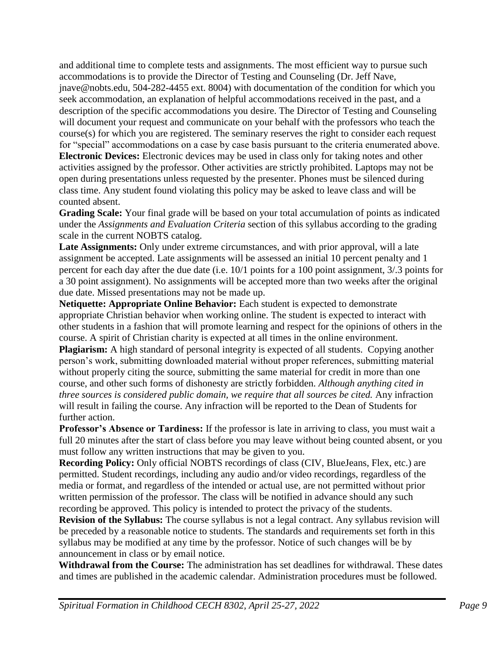and additional time to complete tests and assignments. The most efficient way to pursue such accommodations is to provide the Director of Testing and Counseling (Dr. Jeff Nave, jnave@nobts.edu, 504-282-4455 ext. 8004) with documentation of the condition for which you seek accommodation, an explanation of helpful accommodations received in the past, and a description of the specific accommodations you desire. The Director of Testing and Counseling will document your request and communicate on your behalf with the professors who teach the course(s) for which you are registered. The seminary reserves the right to consider each request for "special" accommodations on a case by case basis pursuant to the criteria enumerated above. **Electronic Devices:** Electronic devices may be used in class only for taking notes and other

activities assigned by the professor. Other activities are strictly prohibited. Laptops may not be open during presentations unless requested by the presenter. Phones must be silenced during class time. Any student found violating this policy may be asked to leave class and will be counted absent.

**Grading Scale:** Your final grade will be based on your total accumulation of points as indicated under the *Assignments and Evaluation Criteria* section of this syllabus according to the grading scale in the current NOBTS catalog.

**Late Assignments:** Only under extreme circumstances, and with prior approval, will a late assignment be accepted. Late assignments will be assessed an initial 10 percent penalty and 1 percent for each day after the due date (i.e. 10/1 points for a 100 point assignment, 3/.3 points for a 30 point assignment). No assignments will be accepted more than two weeks after the original due date. Missed presentations may not be made up.

**Netiquette: Appropriate Online Behavior:** Each student is expected to demonstrate appropriate Christian behavior when working online. The student is expected to interact with other students in a fashion that will promote learning and respect for the opinions of others in the course. A spirit of Christian charity is expected at all times in the online environment.

**Plagiarism:** A high standard of personal integrity is expected of all students. Copying another person's work, submitting downloaded material without proper references, submitting material without properly citing the source, submitting the same material for credit in more than one course, and other such forms of dishonesty are strictly forbidden. *Although anything cited in three sources is considered public domain, we require that all sources be cited.* Any infraction will result in failing the course. Any infraction will be reported to the Dean of Students for further action.

**Professor's Absence or Tardiness:** If the professor is late in arriving to class, you must wait a full 20 minutes after the start of class before you may leave without being counted absent, or you must follow any written instructions that may be given to you.

**Recording Policy:** Only official NOBTS recordings of class (CIV, BlueJeans, Flex, etc.) are permitted. Student recordings, including any audio and/or video recordings, regardless of the media or format, and regardless of the intended or actual use, are not permitted without prior written permission of the professor. The class will be notified in advance should any such recording be approved. This policy is intended to protect the privacy of the students.

**Revision of the Syllabus:** The course syllabus is not a legal contract. Any syllabus revision will be preceded by a reasonable notice to students. The standards and requirements set forth in this syllabus may be modified at any time by the professor. Notice of such changes will be by announcement in class or by email notice.

**Withdrawal from the Course:** The administration has set deadlines for withdrawal. These dates and times are published in the academic calendar. Administration procedures must be followed.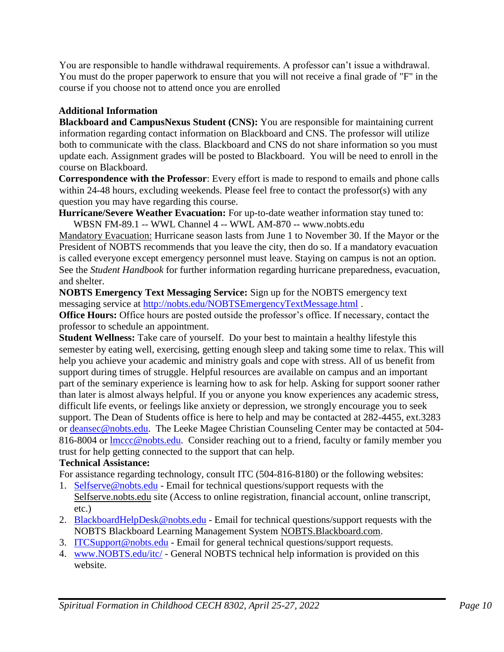You are responsible to handle withdrawal requirements. A professor can't issue a withdrawal. You must do the proper paperwork to ensure that you will not receive a final grade of "F" in the course if you choose not to attend once you are enrolled

## **Additional Information**

**Blackboard and CampusNexus Student (CNS):** You are responsible for maintaining current information regarding contact information on Blackboard and CNS. The professor will utilize both to communicate with the class. Blackboard and CNS do not share information so you must update each. Assignment grades will be posted to Blackboard. You will be need to enroll in the course on Blackboard.

**Correspondence with the Professor**: Every effort is made to respond to emails and phone calls within 24-48 hours, excluding weekends. Please feel free to contact the professor(s) with any question you may have regarding this course.

**Hurricane/Severe Weather Evacuation:** For up-to-date weather information stay tuned to: WBSN FM-89.1 -- WWL Channel 4 -- WWL AM-870 -- www.nobts.edu

Mandatory Evacuation: Hurricane season lasts from June 1 to November 30. If the Mayor or the President of NOBTS recommends that you leave the city, then do so. If a mandatory evacuation is called everyone except emergency personnel must leave. Staying on campus is not an option. See the *Student Handbook* for further information regarding hurricane preparedness, evacuation, and shelter.

**NOBTS Emergency Text Messaging Service:** Sign up for the NOBTS emergency text messaging service at<http://nobts.edu/NOBTSEmergencyTextMessage.html> [.](http://nobts.edu/NOBTSEmergencyTextMessage.html)

**Office Hours:** Office hours are posted outside the professor's office. If necessary, contact the professor to schedule an appointment.

**Student Wellness:** Take care of yourself. Do your best to maintain a healthy lifestyle this semester by eating well, exercising, getting enough sleep and taking some time to relax. This will help you achieve your academic and ministry goals and cope with stress. All of us benefit from support during times of struggle. Helpful resources are available on campus and an important part of the seminary experience is learning how to ask for help. Asking for support sooner rather than later is almost always helpful. If you or anyone you know experiences any academic stress, difficult life events, or feelings like anxiety or depression, we strongly encourage you to seek support. The Dean of Students office is here to help and may be contacted at 282-4455, ext.3283 or [deansec@nobts.edu.](mailto:deansec@nobts.edu) The Leeke Magee Christian Counseling Center may be contacted at 504816-8004 or [lmccc@nobts.edu.](mailto:lmccc@nobts.edu) Consider reaching out to a friend, faculty or family member you trust for help getting connected to the support that can help.

# **Technical Assistance:**

For assistance regarding technology, consult ITC (504-816-8180) or the following websites:

- 1. <Selfserve@nobts.edu> Email for technical questions/support requests with the Selfserve.nobts.edu site (Access to online registration, financial account, online transcript, etc.)
- 2. [BlackboardHelpDesk@nobts.edu](BlackboardHelpDesk@nobts.edu%20) Email for technical questions/support requests with the NOBTS Blackboard Learning Management System NOBTS.Blackboard.com.
- 3. [ITCSupport@nobts.edu](ITCSupport@nobts.edu%20) Email for general technical questions/support requests.
- 4. <www.NOBTS.edu/itc/> General NOBTS technical help information is provided on this website.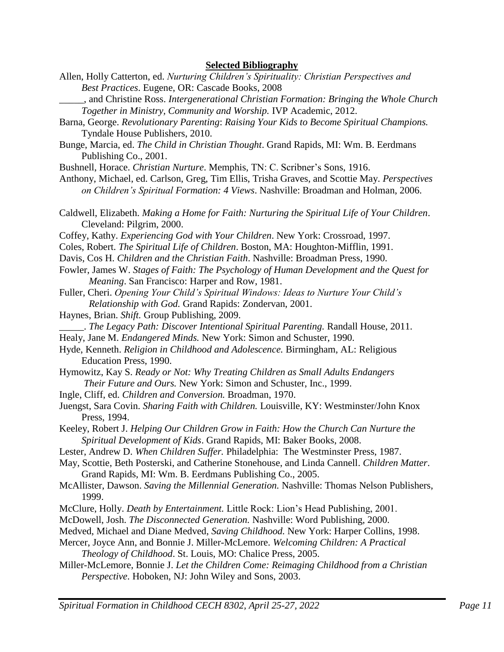### **Selected Bibliography**

Allen, Holly Catterton, ed. *Nurturing Children's Spirituality: Christian Perspectives and Best Practices*. Eugene, OR: Cascade Books, 2008

\_\_\_\_\_, and Christine Ross. *Intergenerational Christian Formation: Bringing the Whole Church Together in Ministry, Community and Worship.* IVP Academic, 2012.

- Barna, George. *Revolutionary Parenting*: *Raising Your Kids to Become Spiritual Champions.* Tyndale House Publishers, 2010.
- Bunge, Marcia, ed. *The Child in Christian Thought*. Grand Rapids, MI: Wm. B. Eerdmans Publishing Co., 2001.

Bushnell, Horace. *Christian Nurture*. Memphis, TN: C. Scribner's Sons, 1916.

Anthony, Michael, ed. Carlson, Greg, Tim Ellis, Trisha Graves, and Scottie May. *Perspectives on Children's Spiritual Formation: 4 Views*. Nashville: Broadman and Holman, 2006.

- Caldwell, Elizabeth. *Making a Home for Faith: Nurturing the Spiritual Life of Your Children*. Cleveland: Pilgrim, 2000.
- Coffey, Kathy. *Experiencing God with Your Children*. New York: Crossroad, 1997.
- Coles, Robert. *The Spiritual Life of Children*. Boston, MA: Houghton-Mifflin, 1991.
- Davis, Cos H. *Children and the Christian Faith*. Nashville: Broadman Press, 1990.
- Fowler, James W. *Stages of Faith: The Psychology of Human Development and the Quest for Meaning*. San Francisco: Harper and Row, 1981.
- Fuller, Cheri. *Opening Your Child's Spiritual Windows: Ideas to Nurture Your Child's Relationship with God.* Grand Rapids: Zondervan, 2001.
- Haynes, Brian. *Shift.* Group Publishing, 2009.
- \_\_\_\_\_. *The Legacy Path: Discover Intentional Spiritual Parenting.* Randall House, 2011.
- Healy, Jane M. *Endangered Minds.* New York: Simon and Schuster, 1990.
- Hyde, Kenneth. *Religion in Childhood and Adolescence.* Birmingham, AL: Religious Education Press, 1990.
- Hymowitz, Kay S. *Ready or Not: Why Treating Children as Small Adults Endangers Their Future and Ours.* New York: Simon and Schuster, Inc., 1999.
- Ingle, Cliff, ed. *Children and Conversion.* Broadman, 1970.
- Juengst, Sara Covin. *Sharing Faith with Children.* Louisville, KY: Westminster/John Knox Press, 1994.
- Keeley, Robert J. *Helping Our Children Grow in Faith: How the Church Can Nurture the Spiritual Development of Kids*. Grand Rapids, MI: Baker Books, 2008.
- Lester, Andrew D. *When Children Suffer.* Philadelphia: The Westminster Press, 1987.
- May, Scottie, Beth Posterski, and Catherine Stonehouse, and Linda Cannell. *Children Matter*. Grand Rapids, MI: Wm. B. Eerdmans Publishing Co., 2005.
- McAllister, Dawson. *Saving the Millennial Generation.* Nashville: Thomas Nelson Publishers, 1999.
- McClure, Holly. *Death by Entertainment.* Little Rock: Lion's Head Publishing, 2001.
- McDowell, Josh. *The Disconnected Generation.* Nashville: Word Publishing, 2000.
- Medved, Michael and Diane Medved, *Saving Childhood.* New York: Harper Collins, 1998.
- Mercer, Joyce Ann, and Bonnie J. Miller-McLemore. *Welcoming Children: A Practical Theology of Childhood*. St. Louis, MO: Chalice Press, 2005.
- Miller-McLemore, Bonnie J. *Let the Children Come: Reimaging Childhood from a Christian Perspective*. Hoboken, NJ: John Wiley and Sons, 2003.